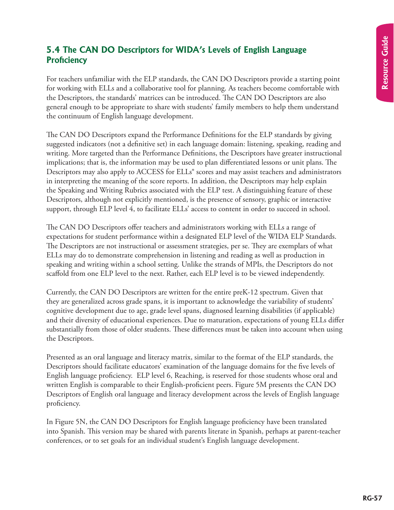## **5.4 The CAN DO Descriptors for WIDA's Levels of English Language Proficiency**

For teachers unfamiliar with the ELP standards, the CAN DO Descriptors provide a starting point for working with ELLs and a collaborative tool for planning. As teachers become comfortable with the Descriptors, the standards' matrices can be introduced. The CAN DO Descriptors are also general enough to be appropriate to share with students' family members to help them understand the continuum of English language development.

The CAN DO Descriptors expand the Performance Definitions for the ELP standards by giving suggested indicators (not a definitive set) in each language domain: listening, speaking, reading and writing. More targeted than the Performance Definitions, the Descriptors have greater instructional implications; that is, the information may be used to plan differentiated lessons or unit plans. The Descriptors may also apply to ACCESS for ELLs<sup>®</sup> scores and may assist teachers and administrators in interpreting the meaning of the score reports. In addition, the Descriptors may help explain the Speaking and Writing Rubrics associated with the ELP test. A distinguishing feature of these Descriptors, although not explicitly mentioned, is the presence of sensory, graphic or interactive support, through ELP level 4, to facilitate ELLs' access to content in order to succeed in school.

The CAN DO Descriptors offer teachers and administrators working with ELLs a range of expectations for student performance within a designated ELP level of the WIDA ELP Standards. The Descriptors are not instructional or assessment strategies, per se. They are exemplars of what ELLs may do to demonstrate comprehension in listening and reading as well as production in speaking and writing within a school setting. Unlike the strands of MPIs, the Descriptors do not scaffold from one ELP level to the next. Rather, each ELP level is to be viewed independently.

Currently, the CAN DO Descriptors are written for the entire preK-12 spectrum. Given that they are generalized across grade spans, it is important to acknowledge the variability of students' cognitive development due to age, grade level spans, diagnosed learning disabilities (if applicable) and their diversity of educational experiences. Due to maturation, expectations of young ELLs differ substantially from those of older students. These differences must be taken into account when using the Descriptors.

Presented as an oral language and literacy matrix, similar to the format of the ELP standards, the Descriptors should facilitate educators' examination of the language domains for the five levels of English language proficiency. ELP level 6, Reaching, is reserved for those students whose oral and written English is comparable to their English-proficient peers. Figure 5M presents the CAN DO Descriptors of English oral language and literacy development across the levels of English language proficiency.

In Figure 5N, the CAN DO Descriptors for English language proficiency have been translated into Spanish. This version may be shared with parents literate in Spanish, perhaps at parent-teacher conferences, or to set goals for an individual student's English language development.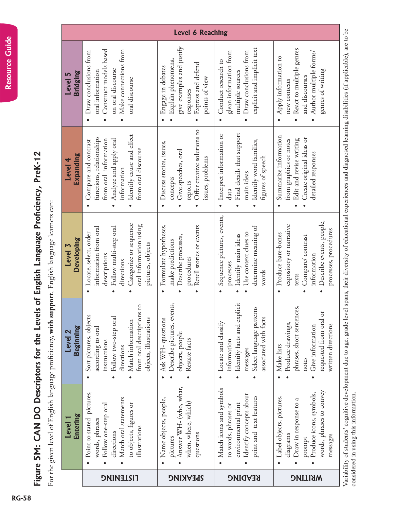## Figure **/-33 &1-Descriptors HQT**the Levels **QH-**English Language Proficiency, **PreK-12**

For the given level of English language proficiency, with support, English language learners can: For the given level of English language proficiency, **with support**, English language learners can:

|                                        | <b>Level 6 Reaching</b>                                                                                                                                                         |                                                                                                                                        |                                                                                                                                          |                                                                                                                                                |  |  |
|----------------------------------------|---------------------------------------------------------------------------------------------------------------------------------------------------------------------------------|----------------------------------------------------------------------------------------------------------------------------------------|------------------------------------------------------------------------------------------------------------------------------------------|------------------------------------------------------------------------------------------------------------------------------------------------|--|--|
| <b>Bridging</b><br>Level 5             | Construct models based<br>Make connections from<br>Draw conclusions from<br>on oral discourse<br>oral information<br>oral discourse<br>$\bullet$<br>$\bullet$                   | give examples and justify<br>Explain phenomena,<br>Express and defend<br>Engage in debates<br>points of view<br>responses              | explicit and implicit text<br>glean information from<br>Draw conclusions from<br>Conduct research to<br>multiple sources<br>$\bullet$    | React to multiple genres<br>Author multiple forms/<br>Apply information to<br>genres of writing<br>and discourses<br>new contexts              |  |  |
| <b>Expanding</b><br>Level 4            | Identify cause and effect<br>functions, relationships<br>from oral information<br>Analyze and apply oral<br>Compare and contrast<br>from oral discourse<br>information          | Offer creative solutions to<br>Discuss stories, issues,<br>Give speeches, oral<br>issues, problems<br>concepts<br>reports<br>$\bullet$ | Find details that support<br>Interpret information or<br>Identify word families,<br>figures of speech<br>main ideas<br>data<br>$\bullet$ | Summarize information<br>Create original ideas or<br>Edit and revise writing<br>from graphics or notes<br>detailed responses                   |  |  |
| <b>Developing</b><br>Level 3           | Categorize or sequence<br>oral information using<br>Follow multi-step oral<br>information from oral<br>Locate, select, order<br>pictures, objects<br>descriptions<br>directions | Formulate hypotheses,<br>Retell stories or events<br>Describe processes,<br>make predictions<br>procedures                             | Sequence pictures, events,<br>determine meaning of<br>Use context clues to<br>Identify main ideas<br>processes<br>words                  | Describe events, people,<br>expository or narrative<br>processes, procedures<br>Produce bare-bones<br>Compare/contrast<br>information<br>texts |  |  |
| <b>Beginning</b><br>Level <sub>2</sub> | from oral descriptions to<br>Sort pictures, objects<br>Follow two-step oral<br>objects, illustrations<br>Match information<br>according to oral<br>instructions<br>directions   | Describe pictures, events,<br>Ask WH-questions<br>objects, people<br>Restate facts                                                     | Identify facts and explicit<br>Select language patterns<br>associated with facts<br>Locate and classify<br>information<br>messages       | phrases, short sentences,<br>requested from oral or<br>Produce drawings,<br>written directions<br>Give information<br>Make lists<br>notes      |  |  |
| <b>Entering</b><br>Level <sub>1</sub>  | Point to stated pictures,<br>Match oral statements<br>to objects, figures or<br>Follow one-step oral<br>words, phrases<br>illustrations<br>directions                           | Answer WH- (who, what,<br>Name objects, people,<br>when, where, which<br>questions<br>pictures                                         | Match icons and symbols<br>Identify concepts about<br>print and text features<br>environmental print<br>to words, phrases or             | words, phrases to convey<br>Produce icons, symbols,<br>Label objects, pictures,<br>Draw in response to a<br>diagrams<br>messages<br>prompt     |  |  |
|                                        | <b>TIZLENINC</b>                                                                                                                                                                | <b>SPEAKING</b>                                                                                                                        | <b>READING</b>                                                                                                                           | <b>MKITING</b>                                                                                                                                 |  |  |

Variability of students' cognitive development due to age, grade level spans, their diversity of educational experiences and diagnosed learning disabilities (if applicable), are to be Variability of students' cognitive development due to age, grade level spans, their diversity of educational experiences and diagnosed learning disabilities (if applicable), are to be considered in using this information. considered in using this information.